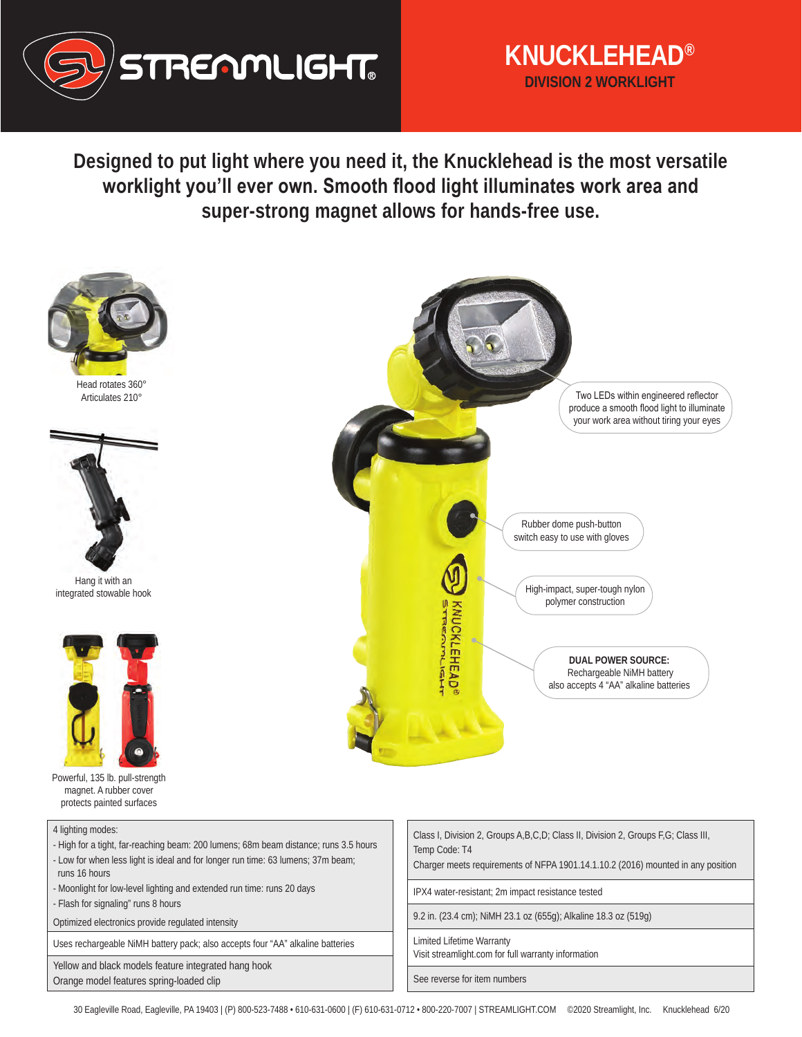

## **KNUCKLEHEAD® DIVISION 2 WORKLIGHT**

**Designed to put light where you need it, the Knucklehead is the most versatile worklight you'll ever own. Smooth flood light illuminates work area and super-strong magnet allows for hands-free use.** 



Head rotates 360° Articulates 210°



Hang it with an integrated stowable hook



Powerful, 135 lb. pull-strength magnet. A rubber cover protects painted surfaces



- High for a tight, far-reaching beam: 200 lumens; 68m beam distance; runs 3.5 hours - Low for when less light is ideal and for longer run time: 63 lumens; 37m beam; runs 16 hours
- Moonlight for low-level lighting and extended run time: runs 20 days
- Flash for signaling" runs 8 hours
- Optimized electronics provide regulated intensity

Uses rechargeable NiMH battery pack; also accepts four "AA" alkaline batteries

Yellow and black models feature integrated hang hook Orange model features spring-loaded clip



| Class I, Division 2, Groups A, B, C, D; Class II, Division 2, Groups F, G; Class III, |  |
|---------------------------------------------------------------------------------------|--|
| Temp Code: T4                                                                         |  |

Charger meets requirements of NFPA 1901.14.1.10.2 (2016) mounted in any position

IPX4 water-resistant; 2m impact resistance tested

9.2 in. (23.4 cm); NiMH 23.1 oz (655g); Alkaline 18.3 oz (519g)

Limited Lifetime Warranty

Visit streamlight.com for full warranty information

See reverse for item numbers